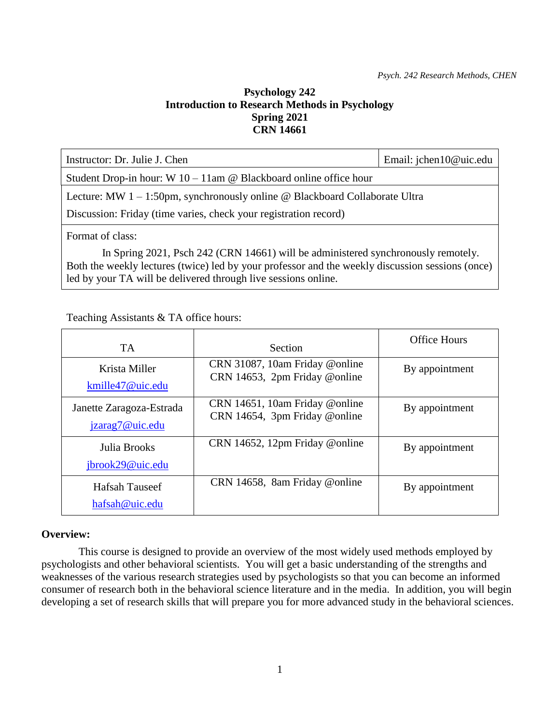# **Psychology 242 Introduction to Research Methods in Psychology Spring 2021 CRN 14661**

| Instructor: Dr. Julie J. Chen                                                                                                                                                                                                                           | Email: jchen10@uic.edu |  |  |  |  |
|---------------------------------------------------------------------------------------------------------------------------------------------------------------------------------------------------------------------------------------------------------|------------------------|--|--|--|--|
| Student Drop-in hour: W $10 - 11$ am @ Blackboard online office hour                                                                                                                                                                                    |                        |  |  |  |  |
| Lecture: MW 1 – 1:50pm, synchronously online @ Blackboard Collaborate Ultra                                                                                                                                                                             |                        |  |  |  |  |
| Discussion: Friday (time varies, check your registration record)                                                                                                                                                                                        |                        |  |  |  |  |
| Format of class:                                                                                                                                                                                                                                        |                        |  |  |  |  |
| In Spring 2021, Psch 242 (CRN 14661) will be administered synchronously remotely.<br>Both the weekly lectures (twice) led by your professor and the weekly discussion sessions (once)<br>led by your TA will be delivered through live sessions online. |                        |  |  |  |  |

# Teaching Assistants & TA office hours:

| <b>TA</b>                                   | Section                                                         | <b>Office Hours</b> |
|---------------------------------------------|-----------------------------------------------------------------|---------------------|
| Krista Miller<br>kmille47@uic.edu           | CRN 31087, 10am Friday @online<br>CRN 14653, 2pm Friday @online | By appointment      |
| Janette Zaragoza-Estrada<br>jzarag7@uic.edu | CRN 14651, 10am Friday @online<br>CRN 14654, 3pm Friday @online | By appointment      |
| Julia Brooks<br>jbrook29@uic.edu            | CRN 14652, 12pm Friday @online                                  | By appointment      |
| Hafsah Tauseef<br>hafsah@uic.edu            | CRN 14658, 8am Friday @online                                   | By appointment      |

## **Overview:**

This course is designed to provide an overview of the most widely used methods employed by psychologists and other behavioral scientists. You will get a basic understanding of the strengths and weaknesses of the various research strategies used by psychologists so that you can become an informed consumer of research both in the behavioral science literature and in the media. In addition, you will begin developing a set of research skills that will prepare you for more advanced study in the behavioral sciences.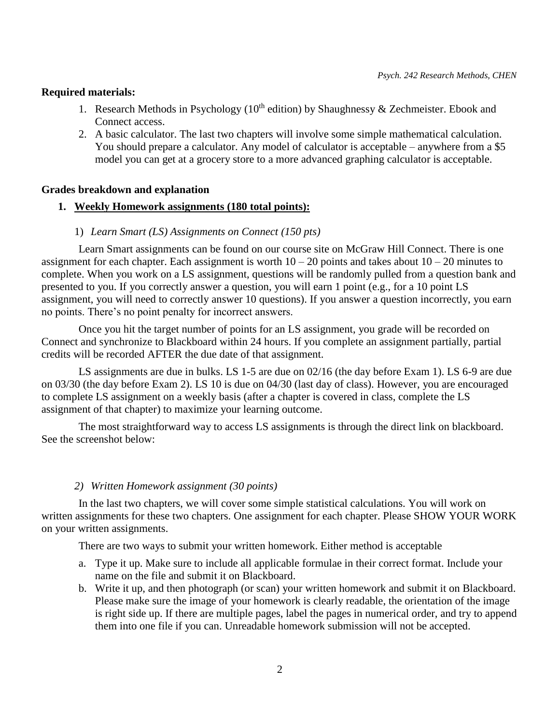#### **Required materials:**

- 1. Research Methods in Psychology ( $10<sup>th</sup>$  edition) by Shaughnessy & Zechmeister. Ebook and Connect access.
- 2. A basic calculator. The last two chapters will involve some simple mathematical calculation. You should prepare a calculator. Any model of calculator is acceptable – anywhere from a \$5 model you can get at a grocery store to a more advanced graphing calculator is acceptable.

### **Grades breakdown and explanation**

### **1. Weekly Homework assignments (180 total points):**

### 1) *Learn Smart (LS) Assignments on Connect (150 pts)*

Learn Smart assignments can be found on our course site on McGraw Hill Connect. There is one assignment for each chapter. Each assignment is worth  $10 - 20$  points and takes about  $10 - 20$  minutes to complete. When you work on a LS assignment, questions will be randomly pulled from a question bank and presented to you. If you correctly answer a question, you will earn 1 point (e.g., for a 10 point LS assignment, you will need to correctly answer 10 questions). If you answer a question incorrectly, you earn no points. There's no point penalty for incorrect answers.

Once you hit the target number of points for an LS assignment, you grade will be recorded on Connect and synchronize to Blackboard within 24 hours. If you complete an assignment partially, partial credits will be recorded AFTER the due date of that assignment.

LS assignments are due in bulks. LS 1-5 are due on 02/16 (the day before Exam 1). LS 6-9 are due on 03/30 (the day before Exam 2). LS 10 is due on 04/30 (last day of class). However, you are encouraged to complete LS assignment on a weekly basis (after a chapter is covered in class, complete the LS assignment of that chapter) to maximize your learning outcome.

The most straightforward way to access LS assignments is through the direct link on blackboard. See the screenshot below:

#### *2) Written Homework assignment (30 points)*

In the last two chapters, we will cover some simple statistical calculations. You will work on written assignments for these two chapters. One assignment for each chapter. Please SHOW YOUR WORK on your written assignments.

There are two ways to submit your written homework. Either method is acceptable

- a. Type it up. Make sure to include all applicable formulae in their correct format. Include your name on the file and submit it on Blackboard.
- b. Write it up, and then photograph (or scan) your written homework and submit it on Blackboard. Please make sure the image of your homework is clearly readable, the orientation of the image is right side up. If there are multiple pages, label the pages in numerical order, and try to append them into one file if you can. Unreadable homework submission will not be accepted.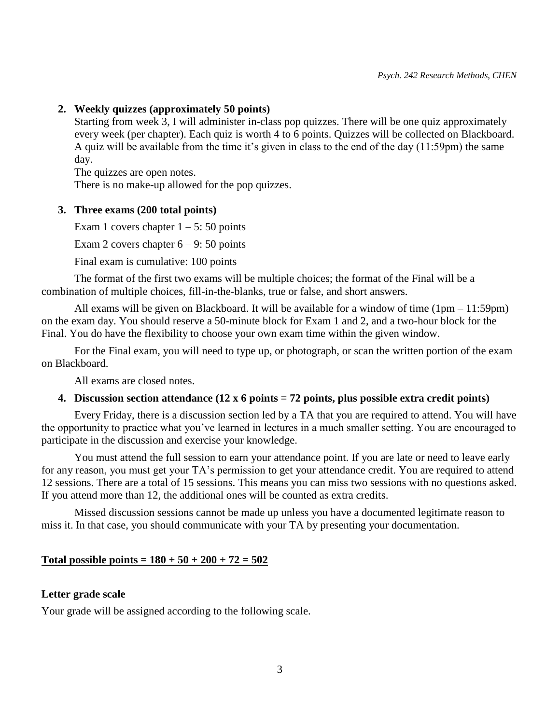### **2. Weekly quizzes (approximately 50 points)**

Starting from week 3, I will administer in-class pop quizzes. There will be one quiz approximately every week (per chapter). Each quiz is worth 4 to 6 points. Quizzes will be collected on Blackboard. A quiz will be available from the time it's given in class to the end of the day (11:59pm) the same day.

The quizzes are open notes. There is no make-up allowed for the pop quizzes.

#### **3. Three exams (200 total points)**

Exam 1 covers chapter  $1 - 5$ : 50 points

Exam 2 covers chapter  $6 - 9$ : 50 points

Final exam is cumulative: 100 points

The format of the first two exams will be multiple choices; the format of the Final will be a combination of multiple choices, fill-in-the-blanks, true or false, and short answers.

 All exams will be given on Blackboard. It will be available for a window of time (1pm – 11:59pm) on the exam day. You should reserve a 50-minute block for Exam 1 and 2, and a two-hour block for the Final. You do have the flexibility to choose your own exam time within the given window.

 For the Final exam, you will need to type up, or photograph, or scan the written portion of the exam on Blackboard.

All exams are closed notes.

#### **4. Discussion section attendance (12 x 6 points = 72 points, plus possible extra credit points)**

Every Friday, there is a discussion section led by a TA that you are required to attend. You will have the opportunity to practice what you've learned in lectures in a much smaller setting. You are encouraged to participate in the discussion and exercise your knowledge.

You must attend the full session to earn your attendance point. If you are late or need to leave early for any reason, you must get your TA's permission to get your attendance credit. You are required to attend 12 sessions. There are a total of 15 sessions. This means you can miss two sessions with no questions asked. If you attend more than 12, the additional ones will be counted as extra credits.

Missed discussion sessions cannot be made up unless you have a documented legitimate reason to miss it. In that case, you should communicate with your TA by presenting your documentation.

#### Total possible points =  $180 + 50 + 200 + 72 = 502$

#### **Letter grade scale**

Your grade will be assigned according to the following scale.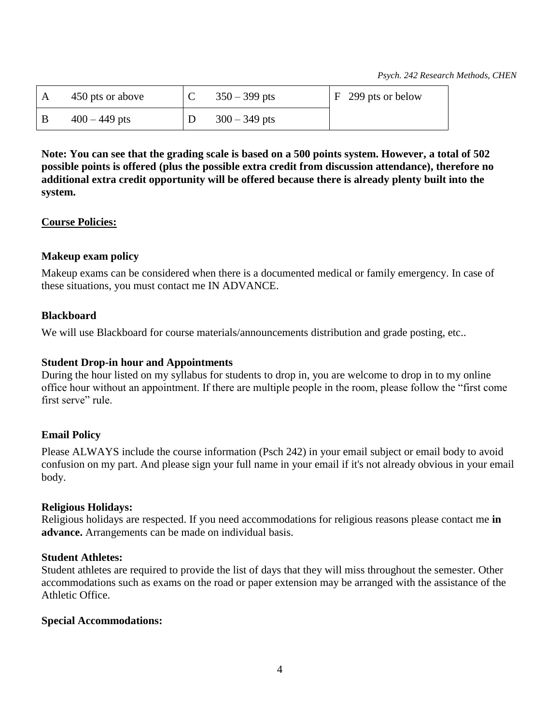*Psych. 242 Research Methods, CHEN*

| 450 pts or above | $350 - 399$ pts | $F$ 299 pts or below |
|------------------|-----------------|----------------------|
| $400 - 449$ pts  | $300 - 349$ pts |                      |

**Note: You can see that the grading scale is based on a 500 points system. However, a total of 502 possible points is offered (plus the possible extra credit from discussion attendance), therefore no additional extra credit opportunity will be offered because there is already plenty built into the system.** 

# **Course Policies:**

# **Makeup exam policy**

Makeup exams can be considered when there is a documented medical or family emergency. In case of these situations, you must contact me IN ADVANCE.

# **Blackboard**

We will use Blackboard for course materials/announcements distribution and grade posting, etc..

## **Student Drop-in hour and Appointments**

During the hour listed on my syllabus for students to drop in, you are welcome to drop in to my online office hour without an appointment. If there are multiple people in the room, please follow the "first come first serve" rule.

# **Email Policy**

Please ALWAYS include the course information (Psch 242) in your email subject or email body to avoid confusion on my part. And please sign your full name in your email if it's not already obvious in your email body.

## **Religious Holidays:**

Religious holidays are respected. If you need accommodations for religious reasons please contact me **in advance.** Arrangements can be made on individual basis.

## **Student Athletes:**

Student athletes are required to provide the list of days that they will miss throughout the semester. Other accommodations such as exams on the road or paper extension may be arranged with the assistance of the Athletic Office.

## **Special Accommodations:**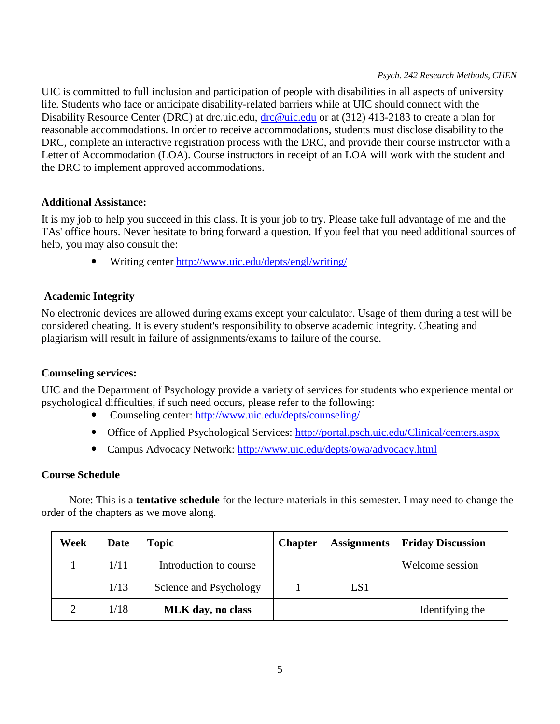### *Psych. 242 Research Methods, CHEN*

UIC is committed to full inclusion and participation of people with disabilities in all aspects of university life. Students who face or anticipate disability-related barriers while at UIC should connect with the Disability Resource Center (DRC) at drc.uic.edu, [drc@uic.edu](mailto:drc@uic.edu) or at (312) 413-2183 to create a plan for reasonable accommodations. In order to receive accommodations, students must disclose disability to the DRC, complete an interactive registration process with the DRC, and provide their course instructor with a Letter of Accommodation (LOA). Course instructors in receipt of an LOA will work with the student and the DRC to implement approved accommodations.

# **Additional Assistance:**

It is my job to help you succeed in this class. It is your job to try. Please take full advantage of me and the TAs' office hours. Never hesitate to bring forward a question. If you feel that you need additional sources of help, you may also consult the:

Writing center<http://www.uic.edu/depts/engl/writing/>

# **Academic Integrity**

No electronic devices are allowed during exams except your calculator. Usage of them during a test will be considered cheating. It is every student's responsibility to observe academic integrity. Cheating and plagiarism will result in failure of assignments/exams to failure of the course.

## **Counseling services:**

UIC and the Department of Psychology provide a variety of services for students who experience mental or psychological difficulties, if such need occurs, please refer to the following:

- Counseling center:<http://www.uic.edu/depts/counseling/>
- Office of Applied Psychological Services:<http://portal.psch.uic.edu/Clinical/centers.aspx>
- Campus Advocacy Network:<http://www.uic.edu/depts/owa/advocacy.html>

## **Course Schedule**

 Note: This is a **tentative schedule** for the lecture materials in this semester. I may need to change the order of the chapters as we move along.

| Week     | Date | <b>Topic</b>             | <b>Chapter</b> | <b>Assignments</b> | <b>Friday Discussion</b> |
|----------|------|--------------------------|----------------|--------------------|--------------------------|
|          | 1/11 | Introduction to course   |                |                    | Welcome session          |
|          | 1/13 | Science and Psychology   |                | LS1                |                          |
| $\gamma$ | 1/18 | <b>MLK</b> day, no class |                |                    | Identifying the          |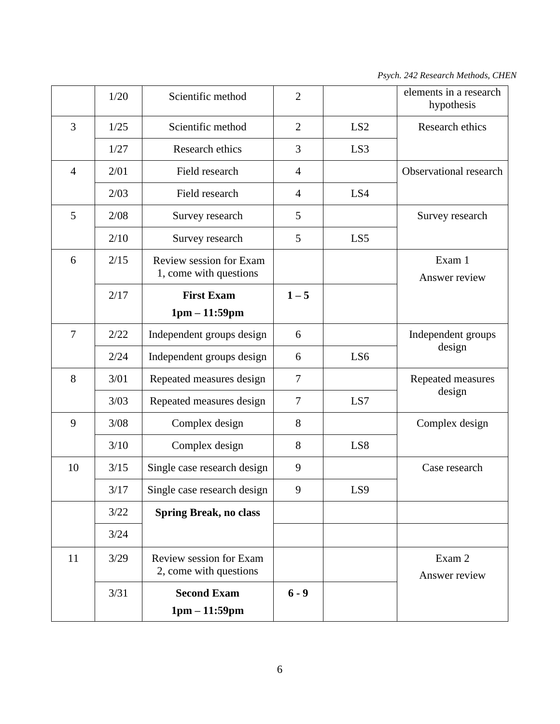*Psych. 242 Research Methods, CHEN*

|                | 1/20 | Scientific method                                 | $\overline{2}$ |                 | elements in a research<br>hypothesis |
|----------------|------|---------------------------------------------------|----------------|-----------------|--------------------------------------|
| 3              | 1/25 | Scientific method                                 | $\overline{2}$ | LS <sub>2</sub> | Research ethics                      |
|                | 1/27 | Research ethics                                   | 3              | LS3             |                                      |
| 4              | 2/01 | Field research                                    | $\overline{4}$ |                 | <b>Observational research</b>        |
|                | 2/03 | Field research                                    | $\overline{4}$ | LS4             |                                      |
| 5              | 2/08 | Survey research                                   | 5              |                 | Survey research                      |
|                | 2/10 | Survey research                                   | 5              | LS5             |                                      |
| 6              | 2/15 | Review session for Exam<br>1, come with questions |                |                 | Exam 1<br>Answer review              |
|                | 2/17 | <b>First Exam</b>                                 | $1 - 5$        |                 |                                      |
|                |      | $1pm - 11:59pm$                                   |                |                 |                                      |
| $\overline{7}$ | 2/22 | Independent groups design                         | 6              |                 | Independent groups                   |
|                | 2/24 | Independent groups design                         | 6              | LS6             | design                               |
| 8              | 3/01 | Repeated measures design                          | $\tau$         |                 | Repeated measures                    |
|                | 3/03 | Repeated measures design                          | $\tau$         | LS7             | design                               |
| 9              | 3/08 | Complex design                                    | 8              |                 | Complex design                       |
|                | 3/10 | Complex design                                    | 8              | LS8             |                                      |
| 10             | 3/15 | Single case research design                       | 9              |                 | Case research                        |
|                | 3/17 | Single case research design                       | 9              | LS9             |                                      |
|                | 3/22 | <b>Spring Break, no class</b>                     |                |                 |                                      |
|                | 3/24 |                                                   |                |                 |                                      |
| 11             | 3/29 | Review session for Exam<br>2, come with questions |                |                 | Exam 2<br>Answer review              |
|                | 3/31 | <b>Second Exam</b>                                | $6 - 9$        |                 |                                      |
|                |      | $1pm - 11:59pm$                                   |                |                 |                                      |